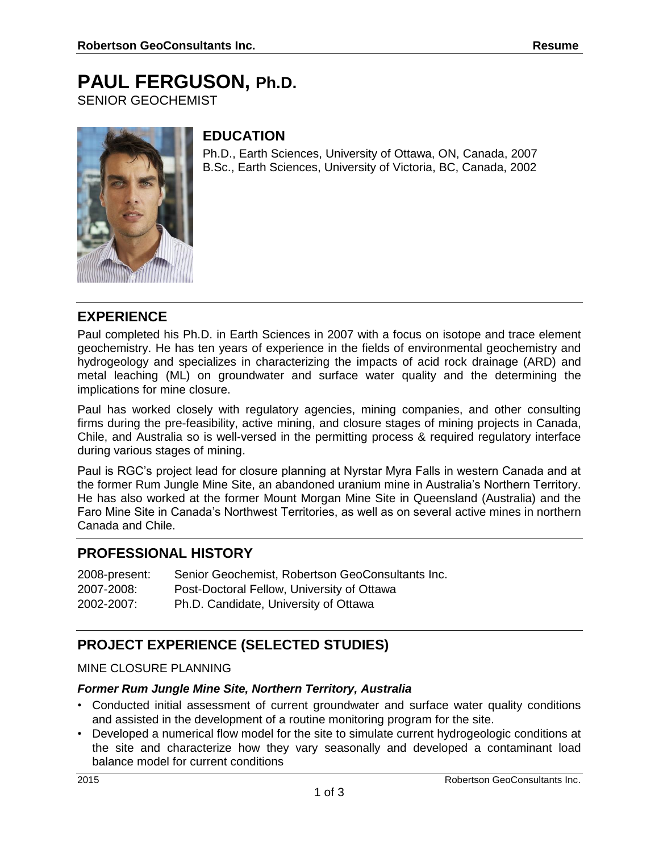# **PAUL FERGUSON, Ph.D.**

SENIOR GEOCHEMIST



## **EDUCATION**

Ph.D., Earth Sciences, University of Ottawa, ON, Canada, 2007 B.Sc., Earth Sciences, University of Victoria, BC, Canada, 2002

## **EXPERIENCE**

Paul completed his Ph.D. in Earth Sciences in 2007 with a focus on isotope and trace element geochemistry. He has ten years of experience in the fields of environmental geochemistry and hydrogeology and specializes in characterizing the impacts of acid rock drainage (ARD) and metal leaching (ML) on groundwater and surface water quality and the determining the implications for mine closure.

Paul has worked closely with regulatory agencies, mining companies, and other consulting firms during the pre-feasibility, active mining, and closure stages of mining projects in Canada, Chile, and Australia so is well-versed in the permitting process & required regulatory interface during various stages of mining.

Paul is RGC's project lead for closure planning at Nyrstar Myra Falls in western Canada and at the former Rum Jungle Mine Site, an abandoned uranium mine in Australia's Northern Territory. He has also worked at the former Mount Morgan Mine Site in Queensland (Australia) and the Faro Mine Site in Canada's Northwest Territories, as well as on several active mines in northern Canada and Chile.

## **PROFESSIONAL HISTORY**

| 2008-present: | Senior Geochemist, Robertson GeoConsultants Inc. |
|---------------|--------------------------------------------------|
| 2007-2008:    | Post-Doctoral Fellow, University of Ottawa       |
| 2002-2007:    | Ph.D. Candidate, University of Ottawa            |

# **PROJECT EXPERIENCE (SELECTED STUDIES)**

#### MINE CLOSURE PLANNING

#### *Former Rum Jungle Mine Site, Northern Territory, Australia*

- Conducted initial assessment of current groundwater and surface water quality conditions and assisted in the development of a routine monitoring program for the site.
- Developed a numerical flow model for the site to simulate current hydrogeologic conditions at the site and characterize how they vary seasonally and developed a contaminant load balance model for current conditions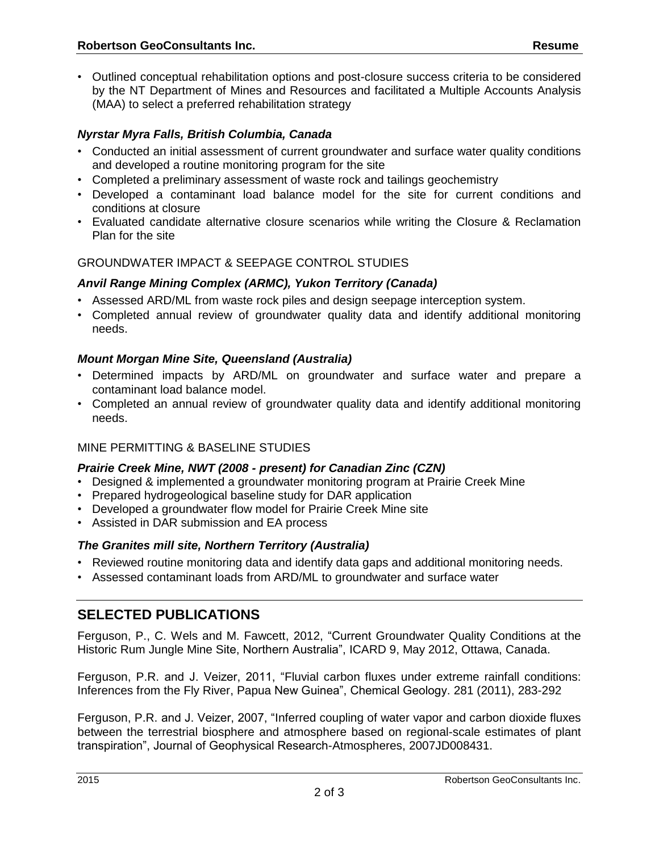#### *Nyrstar Myra Falls, British Columbia, Canada*

- Conducted an initial assessment of current groundwater and surface water quality conditions and developed a routine monitoring program for the site
- Completed a preliminary assessment of waste rock and tailings geochemistry
- Developed a contaminant load balance model for the site for current conditions and conditions at closure
- Evaluated candidate alternative closure scenarios while writing the Closure & Reclamation Plan for the site

#### GROUNDWATER IMPACT & SEEPAGE CONTROL STUDIES

#### *Anvil Range Mining Complex (ARMC), Yukon Territory (Canada)*

- Assessed ARD/ML from waste rock piles and design seepage interception system.
- Completed annual review of groundwater quality data and identify additional monitoring needs.

#### *Mount Morgan Mine Site, Queensland (Australia)*

- Determined impacts by ARD/ML on groundwater and surface water and prepare a contaminant load balance model.
- Completed an annual review of groundwater quality data and identify additional monitoring needs.

#### MINE PERMITTING & BASELINE STUDIES

#### *Prairie Creek Mine, NWT (2008 - present) for Canadian Zinc (CZN)*

- Designed & implemented a groundwater monitoring program at Prairie Creek Mine
- Prepared hydrogeological baseline study for DAR application
- Developed a groundwater flow model for Prairie Creek Mine site
- Assisted in DAR submission and EA process

#### *The Granites mill site, Northern Territory (Australia)*

- Reviewed routine monitoring data and identify data gaps and additional monitoring needs.
- Assessed contaminant loads from ARD/ML to groundwater and surface water

## **SELECTED PUBLICATIONS**

Ferguson, P., C. Wels and M. Fawcett, 2012, "Current Groundwater Quality Conditions at the Historic Rum Jungle Mine Site, Northern Australia", ICARD 9, May 2012, Ottawa, Canada.

Ferguson, P.R. and J. Veizer, 2011, "Fluvial carbon fluxes under extreme rainfall conditions: Inferences from the Fly River, Papua New Guinea", Chemical Geology. 281 (2011), 283-292

Ferguson, P.R. and J. Veizer, 2007, "Inferred coupling of water vapor and carbon dioxide fluxes between the terrestrial biosphere and atmosphere based on regional-scale estimates of plant transpiration", Journal of Geophysical Research-Atmospheres, 2007JD008431.